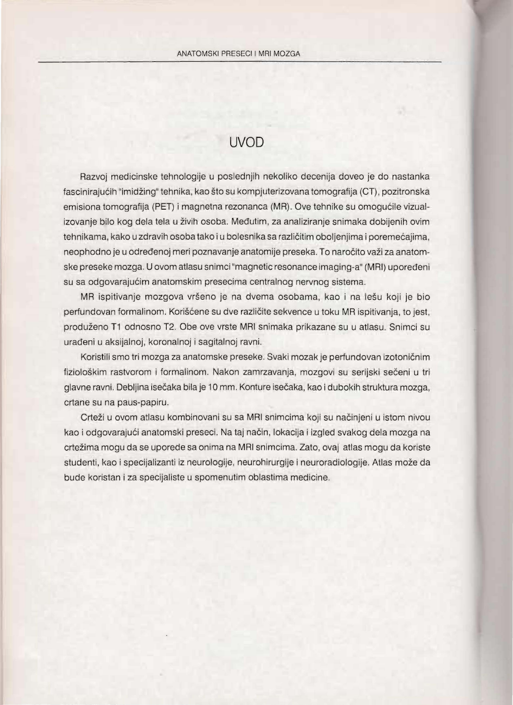## UVOD

Razvoj medicinske tehnologije u poslednjih nekoliko decenija doveo je do nastanka fascinirajucih "imidzing" tehnika, kao sto su kompjuterizovana tomografija (CT), pozitronska emisiona tomografija (PET) i magnetna rezonanca (MR) . Ove tehnike su omogucile vizualizovanje bilo kog dela tela u zivih osoba. Medutim, za analiziranje snimaka dobijenih ovim tehnikama, kako u zdravih osoba tako i u bolesnika sa razlicitim oboljenjima i poremecajima, neophodno je u odredenoj meri poznavanje anatomije preseka. To narocito vazi za anatomske preseke mozga. U ovom atlasu snimci "magnetic resonance imaging-a" (MRI) upoređeni su sa odgovarajucim anatomskim presecima centralnog nervnog sistema.

MR ispitivanje mozgova vrseno je na dvema osobama, kao i na lesu koji je bio perfundovan formalinom. Korišćene su dve različite sekvence u toku MR ispitivanja, to jest, produzeno T1 odnosno T2. Obe ove vrste MRI snimaka prikazane su u atlasu. Snimci su uradeni u aksijalnoj, koronalnoj i sagitalnoj ravni.

Koristili smo tri mozga za anatomske preseke. Svaki mozak je perfundovan izotonicnim fiziološkim rastvorom i formalinom. Nakon zamrzavanja, mozgovi su serijski sečeni u tri glavne ravni. Debljina isecaka bila je 10 mm. Konture isecaka, kao i dubokih struktura mozga, crtane su na paus-papiru.

Crteži u ovom atlasu kombinovani su sa MRI snimcima koji su načinjeni u istom nivou kao i odgovarajući anatomski preseci. Na taj način, lokacija i izgled svakog dela mozga na crtezima mogu da se uporede sa onima na MRI snimcima. Zato, oval atlas mogu da koriste studenti, kao i specijalizanti iz neurologije, neurohirurgije i neuroradiologije. Atlas moze da bude koristan i za specijaliste u spomenutim oblastima medicine.